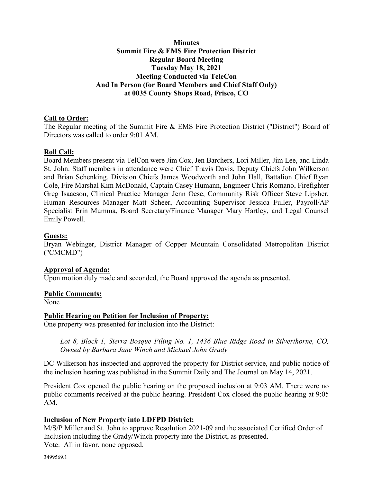## **Minutes Summit Fire & EMS Fire Protection District Regular Board Meeting Tuesday May 18, 2021 Meeting Conducted via TeleCon And In Person (for Board Members and Chief Staff Only) at 0035 County Shops Road, Frisco, CO**

## **Call to Order:**

The Regular meeting of the Summit Fire & EMS Fire Protection District ("District") Board of Directors was called to order 9:01 AM.

#### **Roll Call:**

Board Members present via TelCon were Jim Cox, Jen Barchers, Lori Miller, Jim Lee, and Linda St. John. Staff members in attendance were Chief Travis Davis, Deputy Chiefs John Wilkerson and Brian Schenking, Division Chiefs James Woodworth and John Hall, Battalion Chief Ryan Cole, Fire Marshal Kim McDonald, Captain Casey Humann, Engineer Chris Romano, Firefighter Greg Isaacson, Clinical Practice Manager Jenn Oese, Community Risk Officer Steve Lipsher, Human Resources Manager Matt Scheer, Accounting Supervisor Jessica Fuller, Payroll/AP Specialist Erin Mumma, Board Secretary/Finance Manager Mary Hartley, and Legal Counsel Emily Powell.

## **Guests:**

Bryan Webinger, District Manager of Copper Mountain Consolidated Metropolitan District ("CMCMD")

#### **Approval of Agenda:**

Upon motion duly made and seconded, the Board approved the agenda as presented.

#### **Public Comments:**

None

## **Public Hearing on Petition for Inclusion of Property:**

One property was presented for inclusion into the District:

*Lot 8, Block 1, Sierra Bosque Filing No. 1, 1436 Blue Ridge Road in Silverthorne, CO, Owned by Barbara Jane Winch and Michael John Grady* 

DC Wilkerson has inspected and approved the property for District service, and public notice of the inclusion hearing was published in the Summit Daily and The Journal on May 14, 2021.

President Cox opened the public hearing on the proposed inclusion at 9:03 AM. There were no public comments received at the public hearing. President Cox closed the public hearing at 9:05 AM.

## **Inclusion of New Property into LDFPD District:**

M/S/P Miller and St. John to approve Resolution 2021-09 and the associated Certified Order of Inclusion including the Grady/Winch property into the District, as presented. Vote: All in favor, none opposed.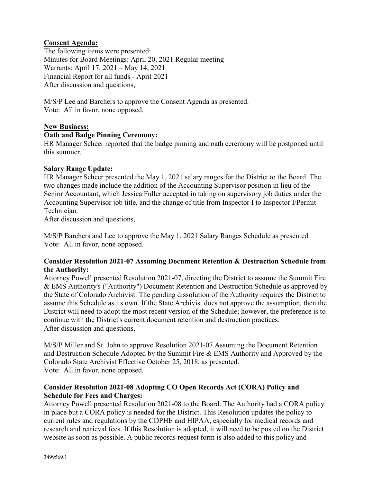## **Consent Agenda:**

The following items were presented: Minutes for Board Meetings: April 20, 2021 Regular meeting Warrants: April 17, 2021 – May 14, 2021 Financial Report for all funds - April 2021 After discussion and questions,

M/S/P Lee and Barchers to approve the Consent Agenda as presented. Vote: All in favor, none opposed.

## **New Business:**

## **Oath and Badge Pinning Ceremony:**

HR Manager Scheer reported that the badge pinning and oath ceremony will be postponed until this summer.

## **Salary Range Update:**

HR Manager Scheer presented the May 1, 2021 salary ranges for the District to the Board. The two changes made include the addition of the Accounting Supervisor position in lieu of the Senior Accountant, which Jessica Fuller accepted in taking on supervisory job duties under the Accounting Supervisor job title, and the change of title from Inspector I to Inspector I/Permit Technician.

After discussion and questions,

M/S/P Barchers and Lee to approve the May 1, 2021 Salary Ranges Schedule as presented. Vote: All in favor, none opposed.

## **Consider Resolution 2021-07 Assuming Document Retention & Destruction Schedule from the Authority:**

Attorney Powell presented Resolution 2021-07, directing the District to assume the Summit Fire & EMS Authority's ("Authority") Document Retention and Destruction Schedule as approved by the State of Colorado Archivist. The pending dissolution of the Authority requires the District to assume this Schedule as its own. If the State Archivist does not approve the assumption, then the District will need to adopt the most recent version of the Schedule; however, the preference is to continue with the District's current document retention and destruction practices. After discussion and questions,

M/S/P Miller and St. John to approve Resolution 2021-07 Assuming the Document Retention and Destruction Schedule Adopted by the Summit Fire & EMS Authority and Approved by the Colorado State Archivist Effective October 25, 2018, as presented. Vote: All in favor, none opposed.

## **Consider Resolution 2021-08 Adopting CO Open Records Act (CORA) Policy and Schedule for Fees and Charges:**

Attorney Powell presented Resolution 2021-08 to the Board. The Authority had a CORA policy in place but a CORA policy is needed for the District. This Resolution updates the policy to current rules and regulations by the CDPHE and HIPAA, especially for medical records and research and retrieval fees. If this Resolution is adopted, it will need to be posted on the District website as soon as possible. A public records request form is also added to this policy and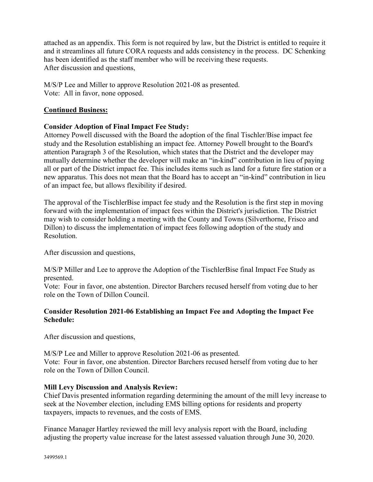attached as an appendix. This form is not required by law, but the District is entitled to require it and it streamlines all future CORA requests and adds consistency in the process. DC Schenking has been identified as the staff member who will be receiving these requests. After discussion and questions,

M/S/P Lee and Miller to approve Resolution 2021-08 as presented. Vote: All in favor, none opposed.

## **Continued Business:**

## **Consider Adoption of Final Impact Fee Study:**

Attorney Powell discussed with the Board the adoption of the final Tischler/Bise impact fee study and the Resolution establishing an impact fee. Attorney Powell brought to the Board's attention Paragraph 3 of the Resolution, which states that the District and the developer may mutually determine whether the developer will make an "in-kind" contribution in lieu of paying all or part of the District impact fee. This includes items such as land for a future fire station or a new apparatus. This does not mean that the Board has to accept an "in-kind" contribution in lieu of an impact fee, but allows flexibility if desired.

The approval of the TischlerBise impact fee study and the Resolution is the first step in moving forward with the implementation of impact fees within the District's jurisdiction. The District may wish to consider holding a meeting with the County and Towns (Silverthorne, Frisco and Dillon) to discuss the implementation of impact fees following adoption of the study and Resolution.

After discussion and questions,

M/S/P Miller and Lee to approve the Adoption of the TischlerBise final Impact Fee Study as presented.

Vote: Four in favor, one abstention. Director Barchers recused herself from voting due to her role on the Town of Dillon Council.

## **Consider Resolution 2021-06 Establishing an Impact Fee and Adopting the Impact Fee Schedule:**

After discussion and questions,

M/S/P Lee and Miller to approve Resolution 2021-06 as presented. Vote: Four in favor, one abstention. Director Barchers recused herself from voting due to her role on the Town of Dillon Council.

# **Mill Levy Discussion and Analysis Review:**

Chief Davis presented information regarding determining the amount of the mill levy increase to seek at the November election, including EMS billing options for residents and property taxpayers, impacts to revenues, and the costs of EMS.

Finance Manager Hartley reviewed the mill levy analysis report with the Board, including adjusting the property value increase for the latest assessed valuation through June 30, 2020.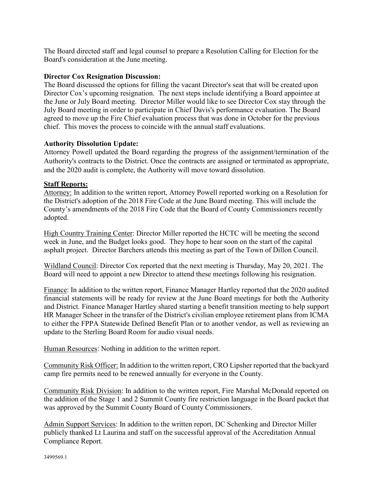The Board directed staff and legal counsel to prepare a Resolution Calling for Election for the Board's consideration at the June meeting.

#### **Director Cox Resignation Discussion:**

The Board discussed the options for filling the vacant Director's seat that will be created upon Director Cox's upcoming resignation. The next steps include identifying a Board appointee at the June or July Board meeting. Director Miller would like to see Director Cox stay through the July Board meeting in order to participate in Chief Davis's performance evaluation. The Board agreed to move up the Fire Chief evaluation process that was done in October for the previous chief. This moves the process to coincide with the annual staff evaluations.

#### **Authority Dissolution Update:**

Attorney Powell updated the Board regarding the progress of the assignment/termination of the Authority's contracts to the District. Once the contracts are assigned or terminated as appropriate, and the 2020 audit is complete, the Authority will move toward dissolution.

#### **Staff Reports:**

Attorney: In addition to the written report, Attorney Powell reported working on a Resolution for the District's adoption of the 2018 Fire Code at the June Board meeting. This will include the County's amendments of the 2018 Fire Code that the Board of County Commissioners recently adopted.

High Country Training Center: Director Miller reported the HCTC will be meeting the second week in June, and the Budget looks good. They hope to hear soon on the start of the capital asphalt project. Director Barchers attends this meeting as part of the Town of Dillon Council.

Wildland Council: Director Cox reported that the next meeting is Thursday, May 20, 2021. The Board will need to appoint a new Director to attend these meetings following his resignation.

Finance: In addition to the written report, Finance Manager Hartley reported that the 2020 audited financial statements will be ready for review at the June Board meetings for both the Authority and District. Finance Manager Hartley shared starting a benefit transition meeting to help support HR Manager Scheer in the transfer of the District's civilian employee retirement plans from ICMA to either the FPPA Statewide Defined Benefit Plan or to another vendor, as well as reviewing an update to the Sterling Board Room for audio visual needs.

Human Resources: Nothing in addition to the written report.

Community Risk Officer: In addition to the written report, CRO Lipsher reported that the backyard camp fire permits need to be renewed annually for everyone in the County.

Community Risk Division: In addition to the written report, Fire Marshal McDonald reported on the addition of the Stage 1 and 2 Summit County fire restriction language in the Board packet that was approved by the Summit County Board of County Commissioners.

Admin Support Services: In addition to the written report, DC Schenking and Director Miller publicly thanked Lt Laurina and staff on the successful approval of the Accreditation Annual Compliance Report.